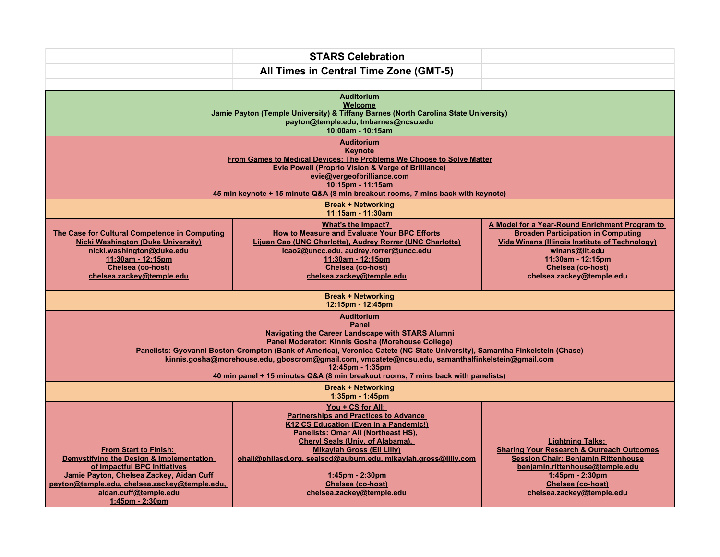|                                                                                                                                                                                                                                                                                                                                                                                                                                                                                        | <b>STARS Celebration</b>                                                                                                                                                                                                                                                                                                                                          |                                                                                                                                                                                                                                               |
|----------------------------------------------------------------------------------------------------------------------------------------------------------------------------------------------------------------------------------------------------------------------------------------------------------------------------------------------------------------------------------------------------------------------------------------------------------------------------------------|-------------------------------------------------------------------------------------------------------------------------------------------------------------------------------------------------------------------------------------------------------------------------------------------------------------------------------------------------------------------|-----------------------------------------------------------------------------------------------------------------------------------------------------------------------------------------------------------------------------------------------|
|                                                                                                                                                                                                                                                                                                                                                                                                                                                                                        | All Times in Central Time Zone (GMT-5)                                                                                                                                                                                                                                                                                                                            |                                                                                                                                                                                                                                               |
|                                                                                                                                                                                                                                                                                                                                                                                                                                                                                        |                                                                                                                                                                                                                                                                                                                                                                   |                                                                                                                                                                                                                                               |
| <b>Auditorium</b><br>Welcome<br>Jamie Payton (Temple University) & Tiffany Barnes (North Carolina State University)<br>payton@temple.edu, tmbarnes@ncsu.edu<br>10:00am - 10:15am                                                                                                                                                                                                                                                                                                       |                                                                                                                                                                                                                                                                                                                                                                   |                                                                                                                                                                                                                                               |
| <b>Auditorium</b><br>Keynote<br>From Games to Medical Devices: The Problems We Choose to Solve Matter<br><b>Evie Powell (Proprio Vision &amp; Verge of Brilliance)</b><br>evie@vergeofbrilliance.com<br>10:15pm - 11:15am<br>45 min keynote + 15 minute Q&A (8 min breakout rooms, 7 mins back with keynote)                                                                                                                                                                           |                                                                                                                                                                                                                                                                                                                                                                   |                                                                                                                                                                                                                                               |
| <b>Break + Networking</b><br>11:15am - 11:30am                                                                                                                                                                                                                                                                                                                                                                                                                                         |                                                                                                                                                                                                                                                                                                                                                                   |                                                                                                                                                                                                                                               |
| The Case for Cultural Competence in Computing<br><b>Nicki Washington (Duke University)</b><br>nicki.washington@duke.edu<br>11:30am - 12:15pm<br>Chelsea (co-host)<br>chelsea.zackey@temple.edu                                                                                                                                                                                                                                                                                         | What's the Impact?<br><b>How to Measure and Evaluate Your BPC Efforts</b><br>Lijuan Cao (UNC Charlotte), Audrey Rorrer (UNC Charlotte)<br>Icao2@uncc.edu, audrey.rorrer@uncc.edu<br>11:30am - 12:15pm<br>Chelsea (co-host)<br>chelsea.zackey@temple.edu                                                                                                           | A Model for a Year-Round Enrichment Program to<br><b>Broaden Participation in Computing</b><br><b>Vida Winans (Illinois Institute of Technology)</b><br>winans@iit.edu<br>11:30am - 12:15pm<br>Chelsea (co-host)<br>chelsea.zackey@temple.edu |
| <b>Break + Networking</b><br>12:15pm - 12:45pm                                                                                                                                                                                                                                                                                                                                                                                                                                         |                                                                                                                                                                                                                                                                                                                                                                   |                                                                                                                                                                                                                                               |
| <b>Auditorium</b><br>Panel<br><b>Navigating the Career Landscape with STARS Alumni</b><br>Panel Moderator: Kinnis Gosha (Morehouse College)<br>Panelists: Gyovanni Boston-Crompton (Bank of America), Veronica Catete (NC State University), Samantha Finkelstein (Chase)<br>kinnis.gosha@morehouse.edu, gboscrom@gmail.com, vmcatete@ncsu.edu, samanthalfinkelstein@gmail.com<br>12:45pm - 1:35pm<br>40 min panel + 15 minutes Q&A (8 min breakout rooms, 7 mins back with panelists) |                                                                                                                                                                                                                                                                                                                                                                   |                                                                                                                                                                                                                                               |
| <b>Break + Networking</b><br>1:35pm - 1:45pm                                                                                                                                                                                                                                                                                                                                                                                                                                           |                                                                                                                                                                                                                                                                                                                                                                   |                                                                                                                                                                                                                                               |
| <b>From Start to Finish:</b><br>Demystifying the Design & Implementation<br>of Impactful BPC Initiatives<br>Jamie Payton, Chelsea Zackey, Aidan Cuff<br>payton@temple.edu, chelsea.zackey@temple.edu,<br>aidan.cuff@temple.edu<br>1:45pm - 2:30pm                                                                                                                                                                                                                                      | You + CS for All:<br><b>Partnerships and Practices to Advance</b><br>K12 CS Education (Even in a Pandemic!)<br>Panelists: Omar Ali (Northeast HS),<br>Cheryl Seals (Univ. of Alabama).<br><b>Mikaylah Gross (Eli Lilly)</b><br>ohali@philasd.org.sealscd@auburn.edu.mikaylah.gross@lilly.com<br>1:45pm - 2:30pm<br>Chelsea (co-host)<br>chelsea.zackey@temple.edu | <b>Lightning Talks:</b><br><b>Sharing Your Research &amp; Outreach Outcomes</b><br><b>Session Chair: Benjamin Rittenhouse</b><br>benjamin.rittenhouse@temple.edu<br>1:45pm - 2:30pm<br>Chelsea (co-host)<br>chelsea.zackey@temple.edu         |